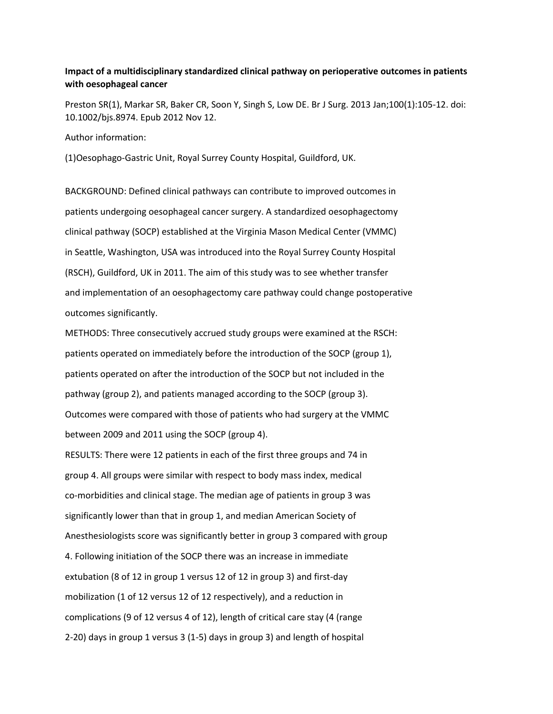## **Impact of a multidisciplinary standardized clinical pathway on perioperative outcomes in patients with oesophageal cancer**

Preston SR(1), Markar SR, Baker CR, Soon Y, Singh S, Low DE. Br J Surg. 2013 Jan;100(1):105-12. doi: 10.1002/bjs.8974. Epub 2012 Nov 12.

Author information:

(1)Oesophago-Gastric Unit, Royal Surrey County Hospital, Guildford, UK.

BACKGROUND: Defined clinical pathways can contribute to improved outcomes in patients undergoing oesophageal cancer surgery. A standardized oesophagectomy clinical pathway (SOCP) established at the Virginia Mason Medical Center (VMMC) in Seattle, Washington, USA was introduced into the Royal Surrey County Hospital (RSCH), Guildford, UK in 2011. The aim of this study was to see whether transfer and implementation of an oesophagectomy care pathway could change postoperative outcomes significantly.

METHODS: Three consecutively accrued study groups were examined at the RSCH: patients operated on immediately before the introduction of the SOCP (group 1), patients operated on after the introduction of the SOCP but not included in the pathway (group 2), and patients managed according to the SOCP (group 3). Outcomes were compared with those of patients who had surgery at the VMMC between 2009 and 2011 using the SOCP (group 4).

RESULTS: There were 12 patients in each of the first three groups and 74 in group 4. All groups were similar with respect to body mass index, medical co-morbidities and clinical stage. The median age of patients in group 3 was significantly lower than that in group 1, and median American Society of Anesthesiologists score was significantly better in group 3 compared with group 4. Following initiation of the SOCP there was an increase in immediate extubation (8 of 12 in group 1 versus 12 of 12 in group 3) and first-day mobilization (1 of 12 versus 12 of 12 respectively), and a reduction in complications (9 of 12 versus 4 of 12), length of critical care stay (4 (range 2-20) days in group 1 versus 3 (1-5) days in group 3) and length of hospital